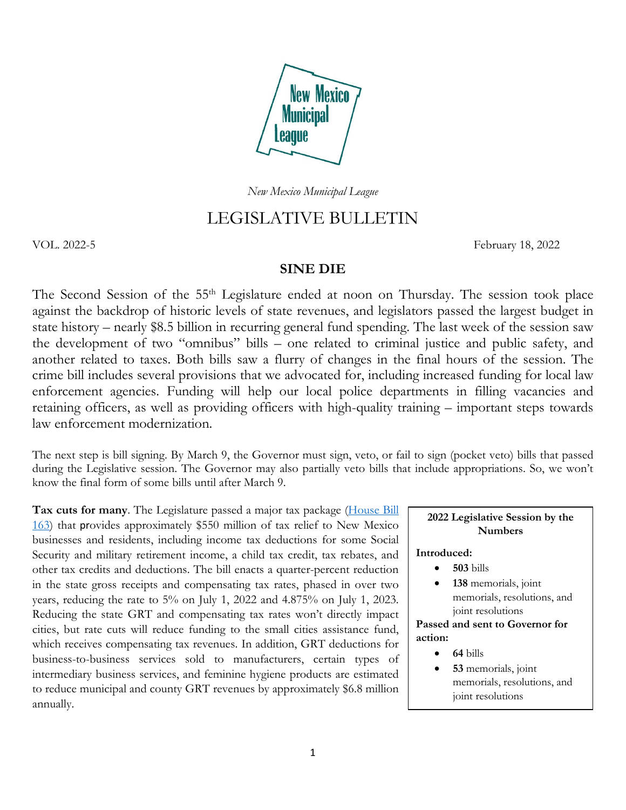

*New Mexico Municipal League*

# LEGISLATIVE BULLETIN

VOL. 2022-5 February 18, 2022

### **SINE DIE**

The Second Session of the 55<sup>th</sup> Legislature ended at noon on Thursday. The session took place against the backdrop of historic levels of state revenues, and legislators passed the largest budget in state history – nearly \$8.5 billion in recurring general fund spending. The last week of the session saw the development of two "omnibus" bills – one related to criminal justice and public safety, and another related to taxes. Both bills saw a flurry of changes in the final hours of the session. The crime bill includes several provisions that we advocated for, including increased funding for local law enforcement agencies. Funding will help our local police departments in filling vacancies and retaining officers, as well as providing officers with high-quality training – important steps towards law enforcement modernization.

The next step is bill signing. By March 9, the Governor must sign, veto, or fail to sign (pocket veto) bills that passed during the Legislative session. The Governor may also partially veto bills that include appropriations. So, we won't know the final form of some bills until after March 9.

**Tax cuts for many**. The Legislature passed a major tax package [\(House Bill](https://www.nmlegis.gov/Legislation/Legislation?Chamber=H&LegType=B&LegNo=163&year=22)  [163\)](https://www.nmlegis.gov/Legislation/Legislation?Chamber=H&LegType=B&LegNo=163&year=22) that provides approximately \$550 million of tax relief to New Mexico businesses and residents, including income tax deductions for some Social Security and military retirement income, a child tax credit, tax rebates, and other tax credits and deductions. The bill enacts a quarter-percent reduction in the state gross receipts and compensating tax rates, phased in over two years, reducing the rate to 5% on July 1, 2022 and 4.875% on July 1, 2023. Reducing the state GRT and compensating tax rates won't directly impact cities, but rate cuts will reduce funding to the small cities assistance fund, which receives compensating tax revenues. In addition, GRT deductions for business-to-business services sold to manufacturers, certain types of intermediary business services, and feminine hygiene products are estimated to reduce municipal and county GRT revenues by approximately \$6.8 million annually.

**2022 Legislative Session by the Numbers**

#### **Introduced:**

- **503** bills
- 138 memorials, joint memorials, resolutions, and joint resolutions

**Passed and sent to Governor for action:**

- **64** bills
- **53** memorials, joint memorials, resolutions, and joint resolutions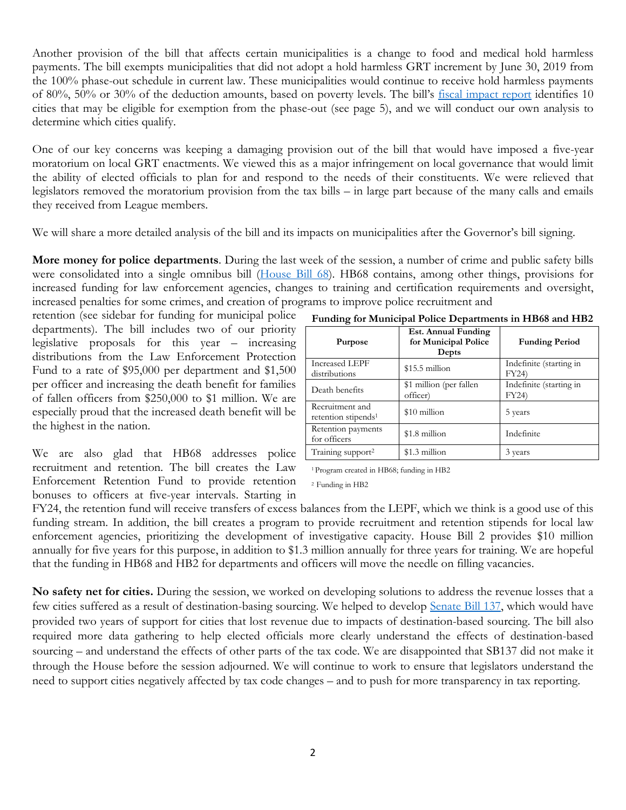Another provision of the bill that affects certain municipalities is a change to food and medical hold harmless payments. The bill exempts municipalities that did not adopt a hold harmless GRT increment by June 30, 2019 from the 100% phase-out schedule in current law. These municipalities would continue to receive hold harmless payments of 80%, 50% or 30% of the deduction amounts, based on poverty levels. The bill's [fiscal impact report](https://www.nmlegis.gov/Sessions/22%20Regular/firs/HB0163.PDF) identifies 10 cities that may be eligible for exemption from the phase-out (see page 5), and we will conduct our own analysis to determine which cities qualify.

One of our key concerns was keeping a damaging provision out of the bill that would have imposed a five-year moratorium on local GRT enactments. We viewed this as a major infringement on local governance that would limit the ability of elected officials to plan for and respond to the needs of their constituents. We were relieved that legislators removed the moratorium provision from the tax bills – in large part because of the many calls and emails they received from League members.

We will share a more detailed analysis of the bill and its impacts on municipalities after the Governor's bill signing.

**More money for police departments**. During the last week of the session, a number of crime and public safety bills were consolidated into a single omnibus bill [\(House Bill 68\)](https://www.nmlegis.gov/Legislation/Legislation?Chamber=H&LegType=B&LegNo=68&year=22). HB68 contains, among other things, provisions for increased funding for law enforcement agencies, changes to training and certification requirements and oversight, increased penalties for some crimes, and creation of programs to improve police recruitment and

retention (see sidebar for funding for municipal police departments). The bill includes two of our priority legislative proposals for this year – increasing distributions from the Law Enforcement Protection Fund to a rate of \$95,000 per department and \$1,500 per officer and increasing the death benefit for families of fallen officers from \$250,000 to \$1 million. We are especially proud that the increased death benefit will be the highest in the nation.

We are also glad that HB68 addresses police recruitment and retention. The bill creates the Law Enforcement Retention Fund to provide retention bonuses to officers at five-year intervals. Starting in

| Purpose                                            | Est. Annual Funding<br>for Municipal Police<br>Depts | <b>Funding Period</b>           |
|----------------------------------------------------|------------------------------------------------------|---------------------------------|
| <b>Increased LEPF</b><br>distributions             | $$15.5$ million                                      | Indefinite (starting in<br>FY24 |
| Death benefits                                     | \$1 million (per fallen<br>officer)                  | Indefinite (starting in<br>FY24 |
| Recruitment and<br>retention stipends <sup>1</sup> | \$10 million                                         | 5 years                         |
| Retention payments<br>for officers                 | \$1.8 million                                        | Indefinite                      |
| Training support <sup>2</sup>                      | \$1.3 million                                        | 3 years                         |

**Funding for Municipal Police Departments in HB68 and HB2**

1 Program created in HB68; funding in HB2

2 Funding in HB2

FY24, the retention fund will receive transfers of excess balances from the LEPF, which we think is a good use of this funding stream. In addition, the bill creates a program to provide recruitment and retention stipends for local law enforcement agencies, prioritizing the development of investigative capacity. House Bill 2 provides \$10 million annually for five years for this purpose, in addition to \$1.3 million annually for three years for training. We are hopeful that the funding in HB68 and HB2 for departments and officers will move the needle on filling vacancies.

**No safety net for cities.** During the session, we worked on developing solutions to address the revenue losses that a few cities suffered as a result of destination-basing sourcing. We helped to develop [Senate Bill 137,](https://www.nmlegis.gov/Legislation/Legislation?Chamber=S&LegType=B&LegNo=137&year=22) which would have provided two years of support for cities that lost revenue due to impacts of destination-based sourcing. The bill also required more data gathering to help elected officials more clearly understand the effects of destination-based sourcing – and understand the effects of other parts of the tax code. We are disappointed that SB137 did not make it through the House before the session adjourned. We will continue to work to ensure that legislators understand the need to support cities negatively affected by tax code changes – and to push for more transparency in tax reporting.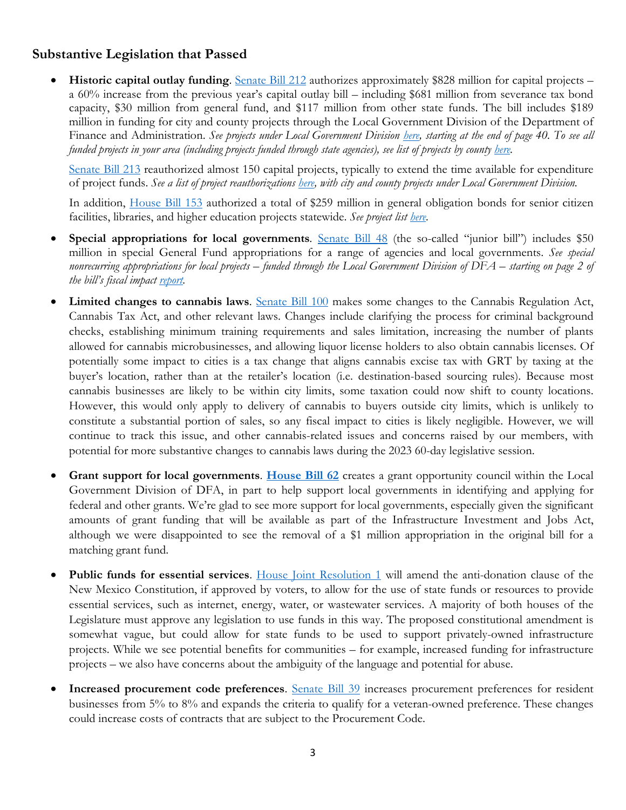# **Substantive Legislation that Passed**

• **Historic capital outlay funding**. [Senate Bill 212](https://www.nmlegis.gov/Legislation/Legislation?Chamber=S&LegType=B&LegNo=212&year=22) authorizes approximately \$828 million for capital projects – a 60% increase from the previous year's capital outlay bill – including \$681 million from severance tax bond capacity, \$30 million from general fund, and \$117 million from other state funds. The bill includes \$189 million in funding for city and county projects through the Local Government Division of the Department of Finance and Administration. *See projects under Local Government Division [here,](https://www.nmlegis.gov/Publications/Capital_Outlay/SFC%20SUB%20SB212%20BY%20AGENCY,%202022.pdf) starting at the end of page 40. To see all funded projects in your area (including projects funded through state agencies), see list of projects by county [here.](https://www.nmlegis.gov/Publications/Capital_Outlay/SFC%20SUB%20SB212%20BY%20COUNTY,%202022.pdf)*

Senate [Bill 213](https://www.nmlegis.gov/Legislation/Legislation?Chamber=S&LegType=B&LegNo=213&year=22) reauthorized almost 150 capital projects, typically to extend the time available for expenditure of project funds. *See a list of project reauthorizations [here,](https://www.nmlegis.gov/Publications/Capital_Outlay/SFC%20SUB%20SB213%20BY%20AGENCY,%202022.pdf) with city and county projects under Local Government Division.*

In addition, [House Bill 153](https://www.nmlegis.gov/Legislation/Legislation?Chamber=H&LegType=B&LegNo=153&year=22) authorized a total of \$259 million in general obligation bonds for senior citizen facilities, libraries, and higher education projects statewide. *See project list [here.](https://www.nmlegis.gov/Publications/Capital_Outlay/HB153%20GO%20Chart%20Funded%20Projects%20by%20Agency%203A%20with%20Language,%202022.pdf)*

- **Special appropriations for local governments**. Senate [Bill 48](https://www.nmlegis.gov/Legislation/Legislation?Chamber=S&LegType=B&LegNo=48&year=22) (the so-called "junior bill") includes \$50 million in special General Fund appropriations for a range of agencies and local governments. *See special nonrecurring appropriations for local projects – funded through the Local Government Division of DFA – starting on page 2 of the bill's fiscal impact [report.](https://www.nmlegis.gov/Sessions/22%20Regular/firs/SB0048.PDF)*
- **Limited changes to cannabis laws**. [Senate Bill](https://www.nmlegis.gov/Legislation/Legislation?Chamber=S&LegType=B&LegNo=100&year=22) 100 makes some changes to the Cannabis Regulation Act, Cannabis Tax Act, and other relevant laws. Changes include clarifying the process for criminal background checks, establishing minimum training requirements and sales limitation, increasing the number of plants allowed for cannabis microbusinesses, and allowing liquor license holders to also obtain cannabis licenses. Of potentially some impact to cities is a tax change that aligns cannabis excise tax with GRT by taxing at the buyer's location, rather than at the retailer's location (i.e. destination-based sourcing rules). Because most cannabis businesses are likely to be within city limits, some taxation could now shift to county locations. However, this would only apply to delivery of cannabis to buyers outside city limits, which is unlikely to constitute a substantial portion of sales, so any fiscal impact to cities is likely negligible. However, we will continue to track this issue, and other cannabis-related issues and concerns raised by our members, with potential for more substantive changes to cannabis laws during the 2023 60-day legislative session.
- **Grant support for local governments**. **[House Bill](https://www.nmlegis.gov/Legislation/Legislation?Chamber=H&LegType=B&LegNo=62&year=22) 62** creates a grant opportunity council within the Local Government Division of DFA, in part to help support local governments in identifying and applying for federal and other grants. We're glad to see more support for local governments, especially given the significant amounts of grant funding that will be available as part of the Infrastructure Investment and Jobs Act, although we were disappointed to see the removal of a \$1 million appropriation in the original bill for a matching grant fund.
- Public funds for essential services. [House Joint Resolution](https://www.nmlegis.gov/Legislation/Legislation?Chamber=H&LegType=JR&LegNo=1&year=22) 1 will amend the anti-donation clause of the New Mexico Constitution, if approved by voters, to allow for the use of state funds or resources to provide essential services, such as internet, energy, water, or wastewater services. A majority of both houses of the Legislature must approve any legislation to use funds in this way. The proposed constitutional amendment is somewhat vague, but could allow for state funds to be used to support privately-owned infrastructure projects. While we see potential benefits for communities – for example, increased funding for infrastructure projects – we also have concerns about the ambiguity of the language and potential for abuse.
- **Increased procurement code preferences**. [Senate Bill 39](https://www.nmlegis.gov/Legislation/Legislation?Chamber=S&LegType=B&LegNo=39&year=22) increases procurement preferences for resident businesses from 5% to 8% and expands the criteria to qualify for a veteran-owned preference. These changes could increase costs of contracts that are subject to the Procurement Code.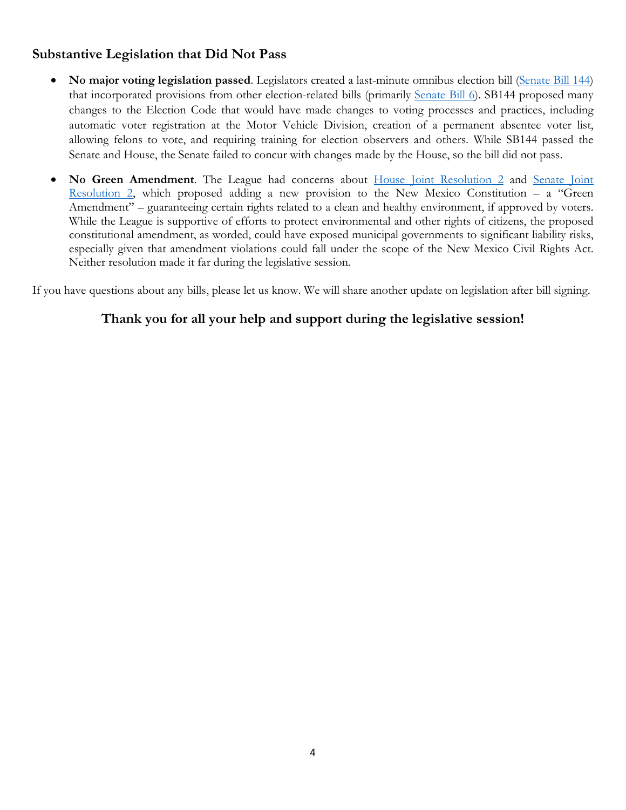# **Substantive Legislation that Did Not Pass**

- **No major voting legislation passed**. Legislators created a last-minute omnibus election bill [\(Senate Bill 144\)](https://www.nmlegis.gov/Legislation/Legislation?Chamber=S&LegType=B&LegNo=144&year=22) that incorporated provisions from other election-related bills (primarily [Senate Bill 6\)](https://www.nmlegis.gov/Legislation/Legislation?Chamber=S&LegType=B&LegNo=144&year=22). SB144 proposed many changes to the Election Code that would have made changes to voting processes and practices, including automatic voter registration at the Motor Vehicle Division, creation of a permanent absentee voter list, allowing felons to vote, and requiring training for election observers and others. While SB144 passed the Senate and House, the Senate failed to concur with changes made by the House, so the bill did not pass.
- **No Green Amendment**. The League had concerns about [House Joint Resolution 2](https://www.nmlegis.gov/Legislation/Legislation?Chamber=H&LegType=JR&LegNo=2&year=22) and Senate Joint <u>Resolution 2</u>, which proposed adding a new provision to the New Mexico Constitution – a "Green" Amendment" – guaranteeing certain rights related to a clean and healthy environment, if approved by voters. While the League is supportive of efforts to protect environmental and other rights of citizens, the proposed constitutional amendment, as worded, could have exposed municipal governments to significant liability risks, especially given that amendment violations could fall under the scope of the New Mexico Civil Rights Act. Neither resolution made it far during the legislative session.

If you have questions about any bills, please let us know. We will share another update on legislation after bill signing.

# **Thank you for all your help and support during the legislative session!**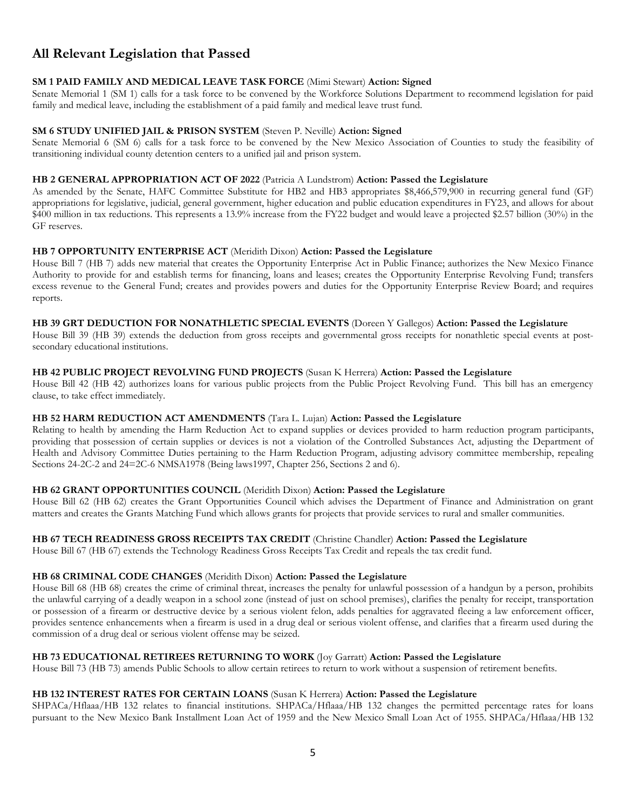# **All Relevant Legislation that Passed**

# **SM 1 PAID FAMILY AND MEDICAL LEAVE TASK FORCE** (Mimi Stewart) **Action: Signed**

Senate Memorial 1 (SM 1) calls for a task force to be convened by the Workforce Solutions Department to recommend legislation for paid family and medical leave, including the establishment of a paid family and medical leave trust fund.

## **SM 6 STUDY UNIFIED JAIL & PRISON SYSTEM** (Steven P. Neville) **Action: Signed**

Senate Memorial 6 (SM 6) calls for a task force to be convened by the New Mexico Association of Counties to study the feasibility of transitioning individual county detention centers to a unified jail and prison system.

# **HB 2 GENERAL APPROPRIATION ACT OF 2022** (Patricia A Lundstrom) **Action: Passed the Legislature**

As amended by the Senate, HAFC Committee Substitute for HB2 and HB3 appropriates \$8,466,579,900 in recurring general fund (GF) appropriations for legislative, judicial, general government, higher education and public education expenditures in FY23, and allows for about \$400 million in tax reductions. This represents a 13.9% increase from the FY22 budget and would leave a projected \$2.57 billion (30%) in the GF reserves.

# **HB 7 OPPORTUNITY ENTERPRISE ACT** (Meridith Dixon) **Action: Passed the Legislature**

House Bill 7 (HB 7) adds new material that creates the Opportunity Enterprise Act in Public Finance; authorizes the New Mexico Finance Authority to provide for and establish terms for financing, loans and leases; creates the Opportunity Enterprise Revolving Fund; transfers excess revenue to the General Fund; creates and provides powers and duties for the Opportunity Enterprise Review Board; and requires reports.

# **HB 39 GRT DEDUCTION FOR NONATHLETIC SPECIAL EVENTS** (Doreen Y Gallegos) **Action: Passed the Legislature**

House Bill 39 (HB 39) extends the deduction from gross receipts and governmental gross receipts for nonathletic special events at postsecondary educational institutions.

## **HB 42 PUBLIC PROJECT REVOLVING FUND PROJECTS** (Susan K Herrera) **Action: Passed the Legislature**

House Bill 42 (HB 42) authorizes loans for various public projects from the Public Project Revolving Fund. This bill has an emergency clause, to take effect immediately.

# **HB 52 HARM REDUCTION ACT AMENDMENTS** (Tara L. Lujan) **Action: Passed the Legislature**

Relating to health by amending the Harm Reduction Act to expand supplies or devices provided to harm reduction program participants, providing that possession of certain supplies or devices is not a violation of the Controlled Substances Act, adjusting the Department of Health and Advisory Committee Duties pertaining to the Harm Reduction Program, adjusting advisory committee membership, repealing Sections 24-2C-2 and 24=2C-6 NMSA1978 (Being laws1997, Chapter 256, Sections 2 and 6).

# **HB 62 GRANT OPPORTUNITIES COUNCIL** (Meridith Dixon) **Action: Passed the Legislature**

House Bill 62 (HB 62) creates the Grant Opportunities Council which advises the Department of Finance and Administration on grant matters and creates the Grants Matching Fund which allows grants for projects that provide services to rural and smaller communities.

# **HB 67 TECH READINESS GROSS RECEIPTS TAX CREDIT** (Christine Chandler) **Action: Passed the Legislature**

House Bill 67 (HB 67) extends the Technology Readiness Gross Receipts Tax Credit and repeals the tax credit fund.

### **HB 68 CRIMINAL CODE CHANGES** (Meridith Dixon) **Action: Passed the Legislature**

House Bill 68 (HB 68) creates the crime of criminal threat, increases the penalty for unlawful possession of a handgun by a person, prohibits the unlawful carrying of a deadly weapon in a school zone (instead of just on school premises), clarifies the penalty for receipt, transportation or possession of a firearm or destructive device by a serious violent felon, adds penalties for aggravated fleeing a law enforcement officer, provides sentence enhancements when a firearm is used in a drug deal or serious violent offense, and clarifies that a firearm used during the commission of a drug deal or serious violent offense may be seized.

### **HB 73 EDUCATIONAL RETIREES RETURNING TO WORK** (Joy Garratt) **Action: Passed the Legislature**

House Bill 73 (HB 73) amends Public Schools to allow certain retirees to return to work without a suspension of retirement benefits.

# **HB 132 INTEREST RATES FOR CERTAIN LOANS** (Susan K Herrera) **Action: Passed the Legislature**

SHPACa/Hflaaa/HB 132 relates to financial institutions. SHPACa/Hflaaa/HB 132 changes the permitted percentage rates for loans pursuant to the New Mexico Bank Installment Loan Act of 1959 and the New Mexico Small Loan Act of 1955. SHPACa/Hflaaa/HB 132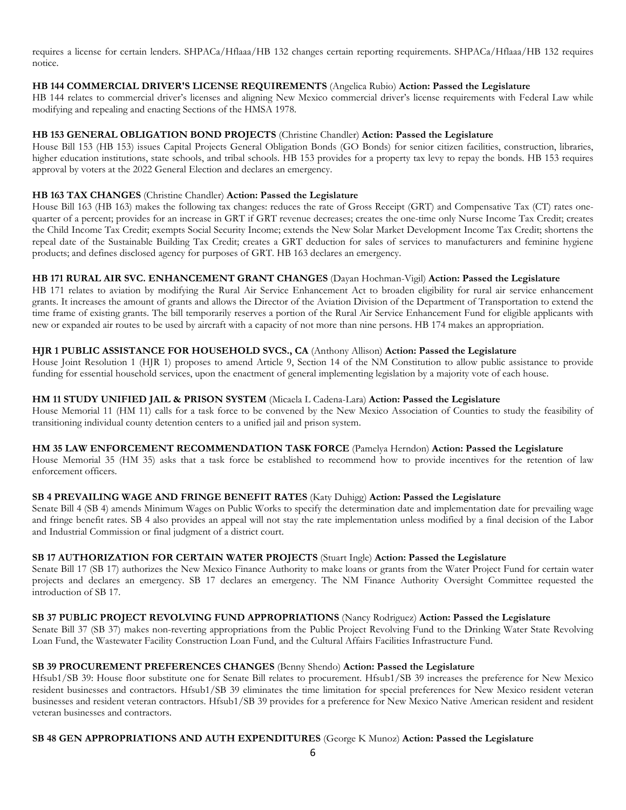requires a license for certain lenders. SHPACa/Hflaaa/HB 132 changes certain reporting requirements. SHPACa/Hflaaa/HB 132 requires notice.

#### **HB 144 COMMERCIAL DRIVER'S LICENSE REQUIREMENTS** (Angelica Rubio) **Action: Passed the Legislature**

HB 144 relates to commercial driver's licenses and aligning New Mexico commercial driver's license requirements with Federal Law while modifying and repealing and enacting Sections of the HMSA 1978.

#### **HB 153 GENERAL OBLIGATION BOND PROJECTS** (Christine Chandler) **Action: Passed the Legislature**

House Bill 153 (HB 153) issues Capital Projects General Obligation Bonds (GO Bonds) for senior citizen facilities, construction, libraries, higher education institutions, state schools, and tribal schools. HB 153 provides for a property tax levy to repay the bonds. HB 153 requires approval by voters at the 2022 General Election and declares an emergency.

#### **HB 163 TAX CHANGES** (Christine Chandler) **Action: Passed the Legislature**

House Bill 163 (HB 163) makes the following tax changes: reduces the rate of Gross Receipt (GRT) and Compensative Tax (CT) rates onequarter of a percent; provides for an increase in GRT if GRT revenue decreases; creates the one-time only Nurse Income Tax Credit; creates the Child Income Tax Credit; exempts Social Security Income; extends the New Solar Market Development Income Tax Credit; shortens the repeal date of the Sustainable Building Tax Credit; creates a GRT deduction for sales of services to manufacturers and feminine hygiene products; and defines disclosed agency for purposes of GRT. HB 163 declares an emergency.

#### **HB 171 RURAL AIR SVC. ENHANCEMENT GRANT CHANGES** (Dayan Hochman-Vigil) **Action: Passed the Legislature**

HB 171 relates to aviation by modifying the Rural Air Service Enhancement Act to broaden eligibility for rural air service enhancement grants. It increases the amount of grants and allows the Director of the Aviation Division of the Department of Transportation to extend the time frame of existing grants. The bill temporarily reserves a portion of the Rural Air Service Enhancement Fund for eligible applicants with new or expanded air routes to be used by aircraft with a capacity of not more than nine persons. HB 174 makes an appropriation.

#### **HJR 1 PUBLIC ASSISTANCE FOR HOUSEHOLD SVCS., CA** (Anthony Allison) **Action: Passed the Legislature**

House Joint Resolution 1 (HJR 1) proposes to amend Article 9, Section 14 of the NM Constitution to allow public assistance to provide funding for essential household services, upon the enactment of general implementing legislation by a majority vote of each house.

#### **HM 11 STUDY UNIFIED JAIL & PRISON SYSTEM** (Micaela L Cadena-Lara) **Action: Passed the Legislature**

House Memorial 11 (HM 11) calls for a task force to be convened by the New Mexico Association of Counties to study the feasibility of transitioning individual county detention centers to a unified jail and prison system.

### **HM 35 LAW ENFORCEMENT RECOMMENDATION TASK FORCE** (Pamelya Herndon) **Action: Passed the Legislature**

House Memorial 35 (HM 35) asks that a task force be established to recommend how to provide incentives for the retention of law enforcement officers.

### **SB 4 PREVAILING WAGE AND FRINGE BENEFIT RATES** (Katy Duhigg) **Action: Passed the Legislature**

Senate Bill 4 (SB 4) amends Minimum Wages on Public Works to specify the determination date and implementation date for prevailing wage and fringe benefit rates. SB 4 also provides an appeal will not stay the rate implementation unless modified by a final decision of the Labor and Industrial Commission or final judgment of a district court.

# **SB 17 AUTHORIZATION FOR CERTAIN WATER PROJECTS** (Stuart Ingle) **Action: Passed the Legislature**

Senate Bill 17 (SB 17) authorizes the New Mexico Finance Authority to make loans or grants from the Water Project Fund for certain water projects and declares an emergency. SB 17 declares an emergency. The NM Finance Authority Oversight Committee requested the introduction of SB 17.

### **SB 37 PUBLIC PROJECT REVOLVING FUND APPROPRIATIONS** (Nancy Rodriguez) **Action: Passed the Legislature**

Senate Bill 37 (SB 37) makes non-reverting appropriations from the Public Project Revolving Fund to the Drinking Water State Revolving Loan Fund, the Wastewater Facility Construction Loan Fund, and the Cultural Affairs Facilities Infrastructure Fund.

### **SB 39 PROCUREMENT PREFERENCES CHANGES** (Benny Shendo) **Action: Passed the Legislature**

Hfsub1/SB 39: House floor substitute one for Senate Bill relates to procurement. Hfsub1/SB 39 increases the preference for New Mexico resident businesses and contractors. Hfsub1/SB 39 eliminates the time limitation for special preferences for New Mexico resident veteran businesses and resident veteran contractors. Hfsub1/SB 39 provides for a preference for New Mexico Native American resident and resident veteran businesses and contractors.

### **SB 48 GEN APPROPRIATIONS AND AUTH EXPENDITURES** (George K Munoz) **Action: Passed the Legislature**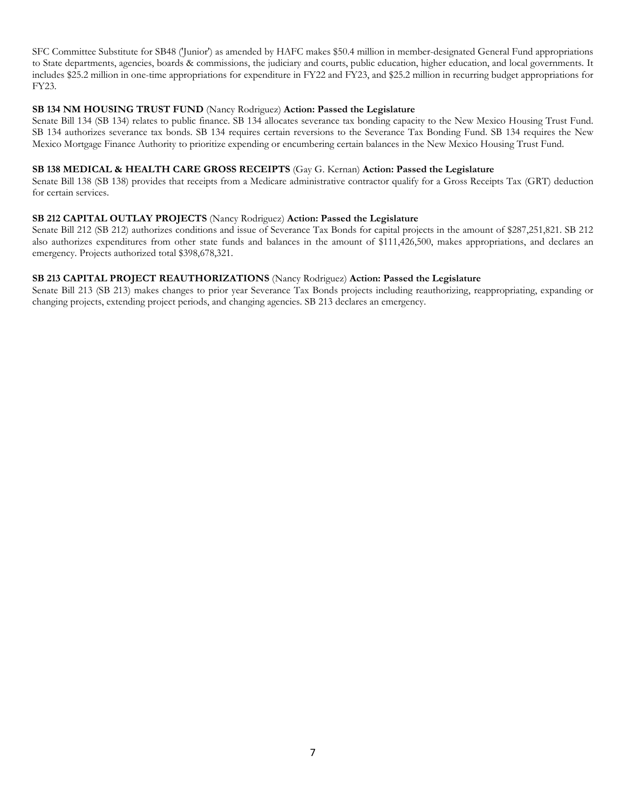SFC Committee Substitute for SB48 ('Junior') as amended by HAFC makes \$50.4 million in member-designated General Fund appropriations to State departments, agencies, boards & commissions, the judiciary and courts, public education, higher education, and local governments. It includes \$25.2 million in one-time appropriations for expenditure in FY22 and FY23, and \$25.2 million in recurring budget appropriations for FY23.

#### **SB 134 NM HOUSING TRUST FUND** (Nancy Rodriguez) **Action: Passed the Legislature**

Senate Bill 134 (SB 134) relates to public finance. SB 134 allocates severance tax bonding capacity to the New Mexico Housing Trust Fund. SB 134 authorizes severance tax bonds. SB 134 requires certain reversions to the Severance Tax Bonding Fund. SB 134 requires the New Mexico Mortgage Finance Authority to prioritize expending or encumbering certain balances in the New Mexico Housing Trust Fund.

#### **SB 138 MEDICAL & HEALTH CARE GROSS RECEIPTS** (Gay G. Kernan) **Action: Passed the Legislature**

Senate Bill 138 (SB 138) provides that receipts from a Medicare administrative contractor qualify for a Gross Receipts Tax (GRT) deduction for certain services.

#### **SB 212 CAPITAL OUTLAY PROJECTS** (Nancy Rodriguez) **Action: Passed the Legislature**

Senate Bill 212 (SB 212) authorizes conditions and issue of Severance Tax Bonds for capital projects in the amount of \$287,251,821. SB 212 also authorizes expenditures from other state funds and balances in the amount of \$111,426,500, makes appropriations, and declares an emergency. Projects authorized total \$398,678,321.

#### **SB 213 CAPITAL PROJECT REAUTHORIZATIONS** (Nancy Rodriguez) **Action: Passed the Legislature**

Senate Bill 213 (SB 213) makes changes to prior year Severance Tax Bonds projects including reauthorizing, reappropriating, expanding or changing projects, extending project periods, and changing agencies. SB 213 declares an emergency.